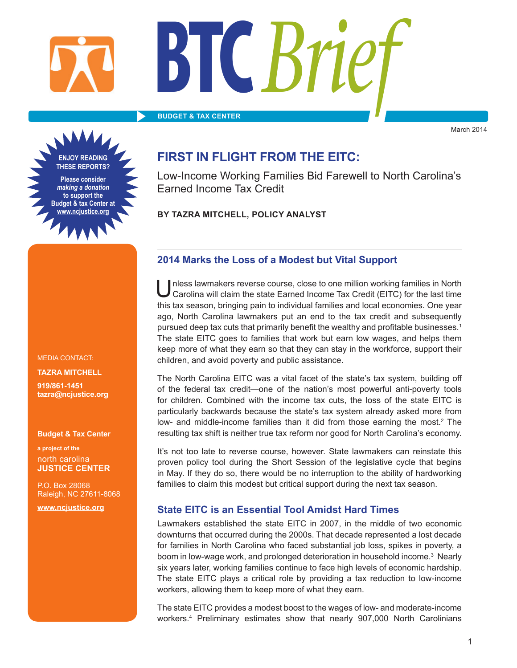# **BTC***Brief*

**BUDGET & TAX CENTER**

►

March 2014

**ENJOY READING THESE REPORTS? Please consider**  *making a donation*  **to support the Budget & tax Center at www.ncjustice.org**

### Low-Income Working Families Bid Farewell to North Carolina's Earned Income Tax Credit

**FIRST IN FLIGHT FROM THE EITC:**

**BY TAZRA MITCHELL, POLICY ANALYST** 

MEDIA CONTACT: **TAZRA MITCHELL 919/861-1451 tazra@ncjustice.org**

#### **Budget & Tax Center**

**a project of the** north carolina **JUSTICE CENTER**

P.O. Box 28068 Raleigh, NC 27611-8068 **www.ncjustice.org**

### **2014 Marks the Loss of a Modest but Vital Support**

I nless lawmakers reverse course, close to one million working families in North Carolina will claim the state Earned Income Tax Credit (EITC) for the last time this tax season, bringing pain to individual families and local economies. One year ago, North Carolina lawmakers put an end to the tax credit and subsequently pursued deep tax cuts that primarily benefit the wealthy and profitable businesses.<sup>1</sup> The state EITC goes to families that work but earn low wages, and helps them keep more of what they earn so that they can stay in the workforce, support their children, and avoid poverty and public assistance.

The North Carolina EITC was a vital facet of the state's tax system, building off of the federal tax credit—one of the nation's most powerful anti-poverty tools for children. Combined with the income tax cuts, the loss of the state EITC is particularly backwards because the state's tax system already asked more from low- and middle-income families than it did from those earning the most.<sup>2</sup> The resulting tax shift is neither true tax reform nor good for North Carolina's economy.

It's not too late to reverse course, however. State lawmakers can reinstate this proven policy tool during the Short Session of the legislative cycle that begins in May. If they do so, there would be no interruption to the ability of hardworking families to claim this modest but critical support during the next tax season.

### **State EITC is an Essential Tool Amidst Hard Times**

Lawmakers established the state EITC in 2007, in the middle of two economic downturns that occurred during the 2000s. That decade represented a lost decade for families in North Carolina who faced substantial job loss, spikes in poverty, a boom in low-wage work, and prolonged deterioration in household income.<sup>3</sup> Nearly six years later, working families continue to face high levels of economic hardship. The state EITC plays a critical role by providing a tax reduction to low-income workers, allowing them to keep more of what they earn.

The state EITC provides a modest boost to the wages of low- and moderate-income workers.4 Preliminary estimates show that nearly 907,000 North Carolinians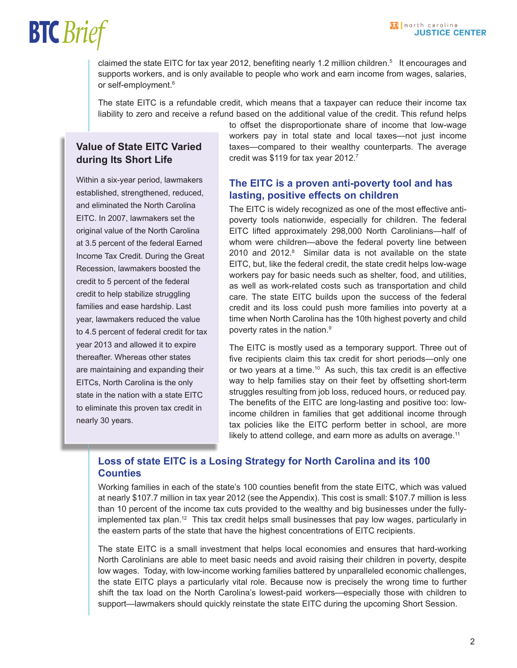#### M north carolina **JUSTICE CENTER**

### **BTC***Brief*

claimed the state EITC for tax year 2012, benefiting nearly 1.2 million children.<sup>5</sup> It encourages and supports workers, and is only available to people who work and earn income from wages, salaries, or self-employment.<sup>6</sup>

The state EITC is a refundable credit, which means that a taxpayer can reduce their income tax liability to zero and receive a refund based on the additional value of the credit. This refund helps

### **Value of State EITC Varied during Its Short Life**

Within a six-year period, lawmakers established, strengthened, reduced, and eliminated the North Carolina EITC. In 2007, lawmakers set the original value of the North Carolina at 3.5 percent of the federal Earned Income Tax Credit. During the Great Recession, lawmakers boosted the credit to 5 percent of the federal credit to help stabilize struggling families and ease hardship. Last year, lawmakers reduced the value to 4.5 percent of federal credit for tax year 2013 and allowed it to expire thereafter. Whereas other states are maintaining and expanding their EITCs, North Carolina is the only state in the nation with a state EITC to eliminate this proven tax credit in nearly 30 years.

to offset the disproportionate share of income that low-wage workers pay in total state and local taxes—not just income taxes—compared to their wealthy counterparts. The average credit was \$119 for tax year 2012.7

### **The EITC is a proven anti-poverty tool and has lasting, positive effects on children**

The EITC is widely recognized as one of the most effective antipoverty tools nationwide, especially for children. The federal EITC lifted approximately 298,000 North Carolinians—half of whom were children—above the federal poverty line between 2010 and 2012.<sup>8</sup> Similar data is not available on the state EITC, but, like the federal credit, the state credit helps low-wage workers pay for basic needs such as shelter, food, and utilities, as well as work-related costs such as transportation and child care. The state EITC builds upon the success of the federal credit and its loss could push more families into poverty at a time when North Carolina has the 10th highest poverty and child poverty rates in the nation.9

The EITC is mostly used as a temporary support. Three out of five recipients claim this tax credit for short periods—only one or two years at a time.10 As such, this tax credit is an effective way to help families stay on their feet by offsetting short-term struggles resulting from job loss, reduced hours, or reduced pay. The benefits of the EITC are long-lasting and positive too: lowincome children in families that get additional income through tax policies like the EITC perform better in school, are more likely to attend college, and earn more as adults on average.<sup>11</sup>

### **Loss of state EITC is a Losing Strategy for North Carolina and its 100 Counties**

Working families in each of the state's 100 counties benefit from the state EITC, which was valued at nearly \$107.7 million in tax year 2012 (see the Appendix). This cost is small: \$107.7 million is less than 10 percent of the income tax cuts provided to the wealthy and big businesses under the fullyimplemented tax plan.<sup>12</sup> This tax credit helps small businesses that pay low wages, particularly in the eastern parts of the state that have the highest concentrations of EITC recipients.

The state EITC is a small investment that helps local economies and ensures that hard-working North Carolinians are able to meet basic needs and avoid raising their children in poverty, despite low wages. Today, with low-income working families battered by unparalleled economic challenges, the state EITC plays a particularly vital role. Because now is precisely the wrong time to further shift the tax load on the North Carolina's lowest-paid workers—especially those with children to support—lawmakers should quickly reinstate the state EITC during the upcoming Short Session.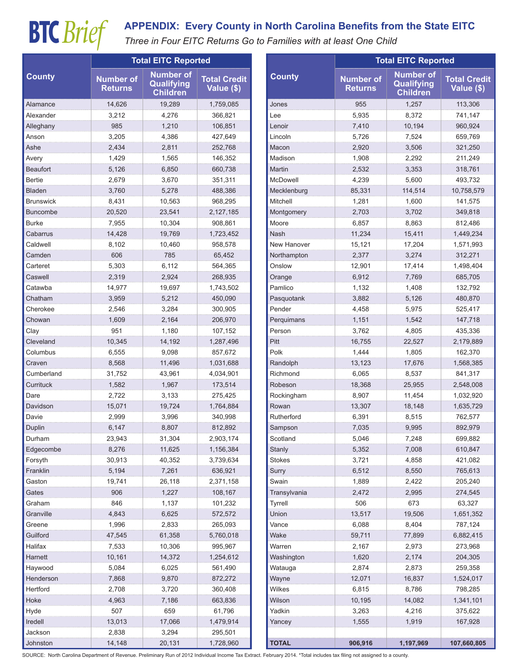### **BTC** *Brief* APPENDIX: Every County in North Carolina Benefits from the State EITC<br> *Three in Four EITC Returns Go to Families with at least One Child*

| <b>County</b>    | <b>Total EITC Reported</b>         |                                                          |                                   |               | <b>Total EITC Reported</b>         |                                                   |                                   |
|------------------|------------------------------------|----------------------------------------------------------|-----------------------------------|---------------|------------------------------------|---------------------------------------------------|-----------------------------------|
|                  | <b>Number of</b><br><b>Returns</b> | <b>Number of</b><br><b>Qualifying</b><br><b>Children</b> | <b>Total Credit</b><br>Value (\$) | <b>County</b> | <b>Number of</b><br><b>Returns</b> | <b>Number of</b><br>Qualifying<br><b>Children</b> | <b>Total Credit</b><br>Value (\$) |
| Alamance         | 14,626                             | 19,289                                                   | 1,759,085                         | Jones         | 955                                | 1,257                                             | 113,306                           |
| Alexander        | 3,212                              | 4,276                                                    | 366,821                           | Lee           | 5,935                              | 8,372                                             | 741,147                           |
| Alleghany        | 985                                | 1,210                                                    | 106,851                           | Lenoir        | 7,410                              | 10,194                                            | 960,924                           |
| Anson            | 3,205                              | 4,386                                                    | 427,649                           | Lincoln       | 5,726                              | 7,524                                             | 659,769                           |
| Ashe             | 2,434                              | 2,811                                                    | 252,768                           | Macon         | 2,920                              | 3,506                                             | 321,250                           |
| Avery            | 1,429                              | 1,565                                                    | 146,352                           | Madison       | 1,908                              | 2,292                                             | 211,249                           |
| Beaufort         | 5,126                              | 6,850                                                    | 660,738                           | Martin        | 2,532                              | 3,353                                             | 318,761                           |
| <b>Bertie</b>    | 2,679                              | 3,670                                                    | 351,311                           | McDowell      | 4,239                              | 5,600                                             | 493,732                           |
| <b>Bladen</b>    | 3,760                              | 5,278                                                    | 488,386                           | Mecklenburg   | 85,331                             | 114,514                                           | 10,758,579                        |
| <b>Brunswick</b> | 8,431                              | 10,563                                                   | 968,295                           | Mitchell      | 1,281                              | 1,600                                             | 141,575                           |
| <b>Buncombe</b>  | 20,520                             | 23,541                                                   | 2,127,185                         | Montgomery    | 2,703                              | 3,702                                             | 349,818                           |
| <b>Burke</b>     | 7,955                              | 10,304                                                   | 908.861                           | Moore         | 6,857                              | 8,863                                             | 812,486                           |
| Cabarrus         | 14,428                             | 19,769                                                   | 1,723,452                         | Nash          | 11,234                             | 15,411                                            | 1,449,234                         |
| Caldwell         | 8,102                              | 10,460                                                   | 958,578                           | New Hanover   | 15,121                             | 17,204                                            | 1,571,993                         |
| Camden           | 606                                | 785                                                      | 65,452                            | Northampton   | 2,377                              | 3,274                                             | 312,271                           |
| Carteret         | 5,303                              | 6,112                                                    | 564,365                           | Onslow        | 12,901                             | 17,414                                            | 1,498,404                         |
| Caswell          | 2,319                              | 2,924                                                    | 268,935                           | Orange        | 6,912                              | 7,769                                             | 685,705                           |
| Catawba          | 14,977                             | 19,697                                                   | 1,743,502                         | Pamlico       | 1,132                              | 1,408                                             | 132,792                           |
| Chatham          | 3,959                              | 5,212                                                    | 450,090                           | Pasquotank    | 3,882                              | 5,126                                             | 480,870                           |
| Cherokee         | 2,546                              | 3,284                                                    | 300,905                           | Pender        | 4,458                              | 5,975                                             | 525,417                           |
| Chowan           | 1,609                              | 2,164                                                    | 206,970                           | Perquimans    | 1,151                              | 1,542                                             | 147,718                           |
| Clay             | 951                                | 1,180                                                    | 107,152                           | Person        | 3,762                              | 4,805                                             | 435,336                           |
| Cleveland        | 10,345                             | 14,192                                                   | 1,287,496                         | Pitt          | 16,755                             | 22,527                                            | 2,179,889                         |
| Columbus         | 6,555                              | 9,098                                                    | 857,672                           | Polk          | 1,444                              | 1,805                                             | 162,370                           |
| Craven           | 8,568                              | 11,496                                                   | 1,031,688                         | Randolph      | 13,123                             | 17,676                                            | 1,568,385                         |
| Cumberland       | 31,752                             | 43,961                                                   | 4,034,901                         | Richmond      | 6,065                              | 8,537                                             | 841,317                           |
| Currituck        | 1,582                              | 1,967                                                    | 173,514                           | Robeson       | 18,368                             | 25,955                                            | 2,548,008                         |
| Dare             | 2,722                              | 3,133                                                    | 275,425                           | Rockingham    | 8,907                              | 11,454                                            | 1,032,920                         |
| Davidson         | 15,071                             | 19,724                                                   | 1,764,884                         | Rowan         | 13,307                             | 18,148                                            | 1,635,729                         |
| Davie            | 2,999                              | 3,996                                                    | 340,998                           | Rutherford    | 6,391                              | 8,515                                             | 762,577                           |
| Duplin           | 6,147                              | 8,807                                                    | 812,892                           | Sampson       | 7,035                              | 9,995                                             | 892,979                           |
| Durham           | 23,943                             | 31,304                                                   | 2,903,174                         | Scotland      | 5,046                              | 7,248                                             | 699,882                           |
| Edgecombe        | 8,276                              | 11,625                                                   | 1,156,384                         | Stanly        | 5,352                              | 7,008                                             | 610,847                           |
| Forsyth          | 30,913                             | 40,352                                                   | 3,739,634                         | Stokes        | 3,721                              | 4,858                                             | 421,082                           |
| Franklin         | 5,194                              | 7,261                                                    | 636,921                           | Surry         | 6,512                              | 8,550                                             | 765,613                           |
| Gaston           | 19,741                             | 26,118                                                   | 2,371,158                         | Swain         | 1,889                              | 2,422                                             | 205,240                           |
| Gates            | 906                                | 1,227                                                    | 108,167                           | Transylvania  | 2,472                              | 2,995                                             | 274,545                           |
| Graham           | 846                                | 1,137                                                    | 101,232                           | Tyrrell       | 506                                | 673                                               | 63,327                            |
| Granville        | 4,843                              | 6,625                                                    | 572,572                           | Union         | 13,517                             | 19,506                                            | 1,651,352                         |
| Greene           | 1,996                              | 2,833                                                    | 265,093                           | Vance         | 6,088                              | 8,404                                             | 787,124                           |
| Guilford         | 47,545                             | 61,358                                                   | 5,760,018                         | Wake          | 59,711                             | 77,899                                            | 6,882,415                         |
| Halifax          | 7,533                              | 10,306                                                   | 995,967                           | Warren        | 2,167                              | 2,973                                             | 273,968                           |
| Harnett          | 10,161                             | 14,372                                                   | 1,254,612                         | Washington    | 1,620                              | 2,174                                             | 204,305                           |
| Haywood          | 5,084                              | 6,025                                                    | 561,490                           | Watauga       | 2,874                              | 2,873                                             | 259,358                           |
| Henderson        | 7,868                              | 9,870                                                    | 872,272                           | Wayne         | 12,071                             | 16,837                                            | 1,524,017                         |
| Hertford         | 2,708                              | 3,720                                                    | 360,408                           | Wilkes        | 6,815                              | 8,786                                             | 798,285                           |
| Hoke             | 4,963                              | 7,186                                                    | 663,836                           | Wilson        | 10,195                             | 14,082                                            | 1,341,101                         |
| Hyde             | 507                                | 659                                                      | 61,796                            | Yadkin        | 3,263                              | 4,216                                             | 375,622                           |
| Iredell          | 13,013                             | 17,066                                                   | 1,479,914                         | Yancey        | 1,555                              | 1,919                                             | 167,928                           |
| Jackson          | 2,838                              | 3,294                                                    | 295,501                           |               |                                    |                                                   |                                   |
| Johnston         | 14,148                             | 20,131                                                   | 1,728,960                         | <b>TOTAL</b>  | 906,916                            | 1,197,969                                         | 107,660,805                       |

SOURCE: North Carolina Department of Revenue. Preliminary Run of 2012 Individual Income Tax Extract. February 2014. \*Total includes tax filing not assigned to a county.